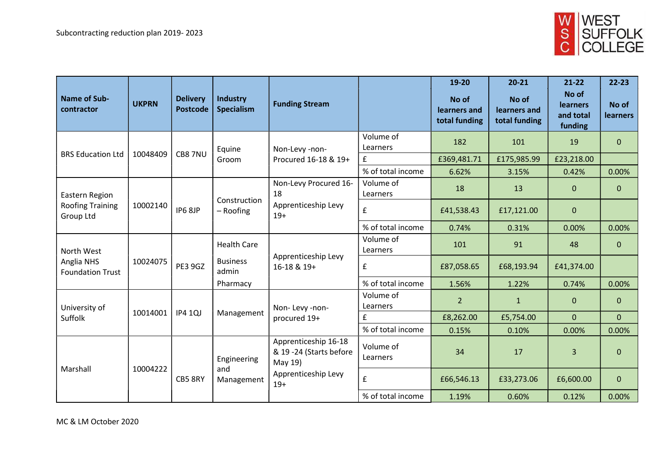

| <b>Name of Sub-</b><br>contractor                      | <b>UKPRN</b> | <b>Delivery</b><br><b>Postcode</b> | Industry<br><b>Specialism</b>    | <b>Funding Stream</b>                                                                      |                       | 19-20<br>No of<br>learners and<br>total funding | $20 - 21$<br>No of<br>learners and<br>total funding | $21 - 22$<br>No of<br><b>learners</b><br>and total<br>funding | $22 - 23$<br>No of<br><b>learners</b> |
|--------------------------------------------------------|--------------|------------------------------------|----------------------------------|--------------------------------------------------------------------------------------------|-----------------------|-------------------------------------------------|-----------------------------------------------------|---------------------------------------------------------------|---------------------------------------|
| <b>BRS Education Ltd</b>                               | 10048409     | CB87NU                             | Equine<br>Groom                  | Non-Levy -non-<br>Procured 16-18 & 19+                                                     | Volume of<br>Learners | 182                                             | 101                                                 | 19                                                            | $\overline{0}$                        |
|                                                        |              |                                    |                                  |                                                                                            | £                     | £369,481.71                                     | £175,985.99                                         | £23,218.00                                                    |                                       |
|                                                        |              |                                    |                                  |                                                                                            | % of total income     | 6.62%                                           | 3.15%                                               | 0.42%                                                         | 0.00%                                 |
| Eastern Region<br><b>Roofing Training</b><br>Group Ltd | 10002140     | IP6 8JP                            | Construction<br>$-$ Roofing      | Non-Levy Procured 16-<br>18<br>Apprenticeship Levy<br>$19+$                                | Volume of<br>Learners | 18                                              | 13                                                  | $\mathbf 0$                                                   | $\overline{0}$                        |
|                                                        |              |                                    |                                  |                                                                                            | $\mathbf{f}$          | £41,538.43                                      | £17,121.00                                          | $\mathbf 0$                                                   |                                       |
|                                                        |              |                                    |                                  |                                                                                            | % of total income     | 0.74%                                           | 0.31%                                               | 0.00%                                                         | 0.00%                                 |
| North West<br>Anglia NHS<br><b>Foundation Trust</b>    | 10024075     | <b>PE3 9GZ</b>                     | <b>Health Care</b>               | Apprenticeship Levy<br>16-18 & 19+                                                         | Volume of<br>Learners | 101                                             | 91                                                  | 48                                                            | $\overline{0}$                        |
|                                                        |              |                                    | <b>Business</b><br>admin         |                                                                                            | £                     | £87,058.65                                      | £68,193.94                                          | £41,374.00                                                    |                                       |
|                                                        |              |                                    | Pharmacy                         |                                                                                            | % of total income     | 1.56%                                           | 1.22%                                               | 0.74%                                                         | 0.00%                                 |
| University of<br>Suffolk                               | 10014001     | <b>IP4 1QJ</b>                     | Management                       | Non-Levy-non-<br>procured 19+                                                              | Volume of<br>Learners | 2 <sup>1</sup>                                  | $\mathbf{1}$                                        | $\mathbf{0}$                                                  | $\overline{0}$                        |
|                                                        |              |                                    |                                  |                                                                                            | £                     | £8,262.00                                       | £5,754.00                                           | $\mathbf{0}$                                                  | $\overline{0}$                        |
|                                                        |              |                                    |                                  |                                                                                            | % of total income     | 0.15%                                           | 0.10%                                               | 0.00%                                                         | 0.00%                                 |
| Marshall                                               | 10004222     | CB5 8RY                            | Engineering<br>and<br>Management | Apprenticeship 16-18<br>& 19 -24 (Starts before<br>May 19)<br>Apprenticeship Levy<br>$19+$ | Volume of<br>Learners | 34                                              | 17                                                  | $\overline{3}$                                                | $\mathbf{0}$                          |
|                                                        |              |                                    |                                  |                                                                                            | $\pmb{\mathsf{f}}$    | £66,546.13                                      | £33,273.06                                          | £6,600.00                                                     | $\mathbf{0}$                          |
|                                                        |              |                                    |                                  |                                                                                            | % of total income     | 1.19%                                           | 0.60%                                               | 0.12%                                                         | 0.00%                                 |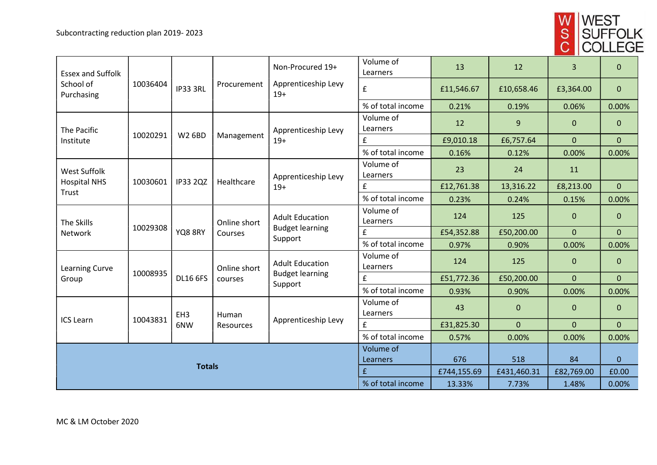

| <b>Essex and Suffolk</b>                     |          |                        |                         | Non-Procured 19+                                                       | Volume of<br>Learners | 13          | 12           | 3              | $\mathbf{0}$   |
|----------------------------------------------|----------|------------------------|-------------------------|------------------------------------------------------------------------|-----------------------|-------------|--------------|----------------|----------------|
| School of<br>Purchasing                      | 10036404 | IP33 3RL               | Procurement             | Apprenticeship Levy<br>$19+$                                           | £                     | £11,546.67  | £10,658.46   | £3,364.00      | $\mathbf{0}$   |
| The Pacific<br>Institute                     | 10020291 | <b>W2 6BD</b>          | Management              |                                                                        | % of total income     | 0.21%       | 0.19%        | 0.06%          | 0.00%          |
|                                              |          |                        |                         | Apprenticeship Levy                                                    | Volume of<br>Learners | 12          | 9            | $\mathbf{0}$   | $\mathbf{0}$   |
|                                              |          |                        |                         | $19+$                                                                  | £                     | £9,010.18   | £6,757.64    | $\overline{0}$ | $\overline{0}$ |
| West Suffolk<br><b>Hospital NHS</b><br>Trust | 10030601 | <b>IP33 2QZ</b>        | Healthcare              | Apprenticeship Levy<br>$19+$                                           | % of total income     | 0.16%       | 0.12%        | 0.00%          | 0.00%          |
|                                              |          |                        |                         |                                                                        | Volume of<br>Learners | 23          | 24           | 11             |                |
|                                              |          |                        |                         |                                                                        | £                     | £12,761.38  | 13,316.22    | £8,213.00      | $\overline{0}$ |
| The Skills<br>Network                        | 10029308 | YQ8 8RY                | Online short<br>Courses | <b>Adult Education</b><br><b>Budget learning</b>                       | % of total income     | 0.23%       | 0.24%        | 0.15%          | 0.00%          |
|                                              |          |                        |                         |                                                                        | Volume of<br>Learners | 124         | 125          | $\mathbf{0}$   | $\mathbf{0}$   |
|                                              |          |                        |                         |                                                                        | £                     | £54,352.88  | £50,200.00   | $\overline{0}$ | $\overline{0}$ |
| <b>Learning Curve</b><br>Group               | 10008935 | <b>DL16 6FS</b>        | Online short<br>courses | Support<br><b>Adult Education</b><br><b>Budget learning</b><br>Support | % of total income     | 0.97%       | 0.90%        | 0.00%          | 0.00%          |
|                                              |          |                        |                         |                                                                        | Volume of<br>Learners | 124         | 125          | $\mathbf{0}$   | $\overline{0}$ |
|                                              |          |                        |                         |                                                                        | £                     | £51,772.36  | £50,200.00   | $\mathbf{0}$   | $\overline{0}$ |
| <b>ICS Learn</b>                             | 10043831 | EH <sub>3</sub><br>6NW | Human<br>Resources      | Apprenticeship Levy                                                    | % of total income     | 0.93%       | 0.90%        | 0.00%          | 0.00%          |
|                                              |          |                        |                         |                                                                        | Volume of<br>Learners | 43          | $\mathbf{0}$ | $\mathbf{0}$   | $\mathbf{0}$   |
|                                              |          |                        |                         |                                                                        | £                     | £31,825.30  | $\mathbf{0}$ | $\overline{0}$ | $\overline{0}$ |
|                                              |          |                        |                         |                                                                        | % of total income     | 0.57%       | 0.00%        | 0.00%          | 0.00%          |
|                                              |          |                        |                         |                                                                        | Volume of             |             |              |                |                |
| <b>Totals</b>                                |          |                        |                         |                                                                        | Learners              | 676         | 518          | 84             | $\mathbf{0}$   |
|                                              |          |                        |                         |                                                                        | £                     | £744,155.69 | £431,460.31  | £82,769.00     | £0.00          |
|                                              |          |                        |                         |                                                                        | % of total income     | 13.33%      | 7.73%        | 1.48%          | 0.00%          |